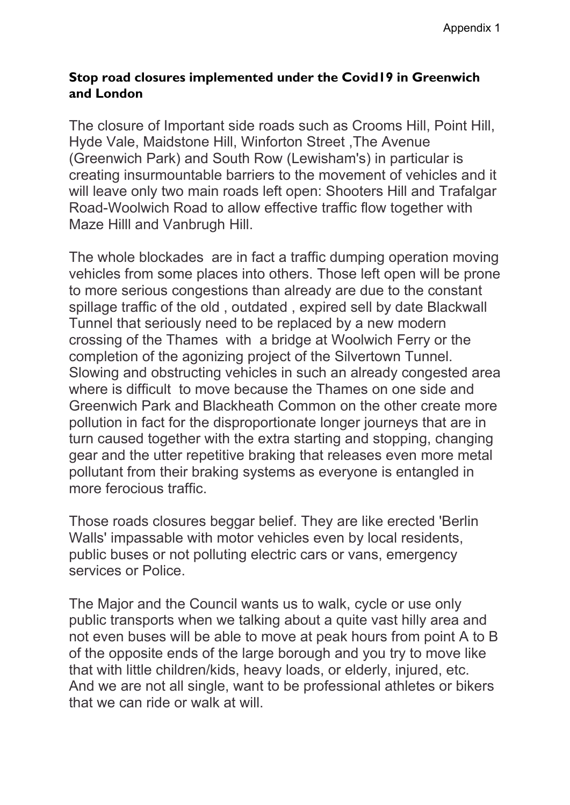## **Stop road closures implemented under the Covid19 in Greenwich and London**

The closure of Important side roads such as Crooms Hill, Point Hill, Hyde Vale, Maidstone Hill, Winforton Street ,The Avenue (Greenwich Park) and South Row (Lewisham's) in particular is creating insurmountable barriers to the movement of vehicles and it will leave only two main roads left open: Shooters Hill and Trafalgar Road-Woolwich Road to allow effective traffic flow together with Maze Hilll and Vanbrugh Hill.

The whole blockades are in fact a traffic dumping operation moving vehicles from some places into others. Those left open will be prone to more serious congestions than already are due to the constant spillage traffic of the old , outdated , expired sell by date Blackwall Tunnel that seriously need to be replaced by a new modern crossing of the Thames with a bridge at Woolwich Ferry or the completion of the agonizing project of the Silvertown Tunnel. Slowing and obstructing vehicles in such an already congested area where is difficult to move because the Thames on one side and Greenwich Park and Blackheath Common on the other create more pollution in fact for the disproportionate longer journeys that are in turn caused together with the extra starting and stopping, changing gear and the utter repetitive braking that releases even more metal pollutant from their braking systems as everyone is entangled in more ferocious traffic.

Those roads closures beggar belief. They are like erected 'Berlin Walls' impassable with motor vehicles even by local residents, public buses or not polluting electric cars or vans, emergency services or Police.

The Major and the Council wants us to walk, cycle or use only public transports when we talking about a quite vast hilly area and not even buses will be able to move at peak hours from point A to B of the opposite ends of the large borough and you try to move like that with little children/kids, heavy loads, or elderly, injured, etc. And we are not all single, want to be professional athletes or bikers that we can ride or walk at will.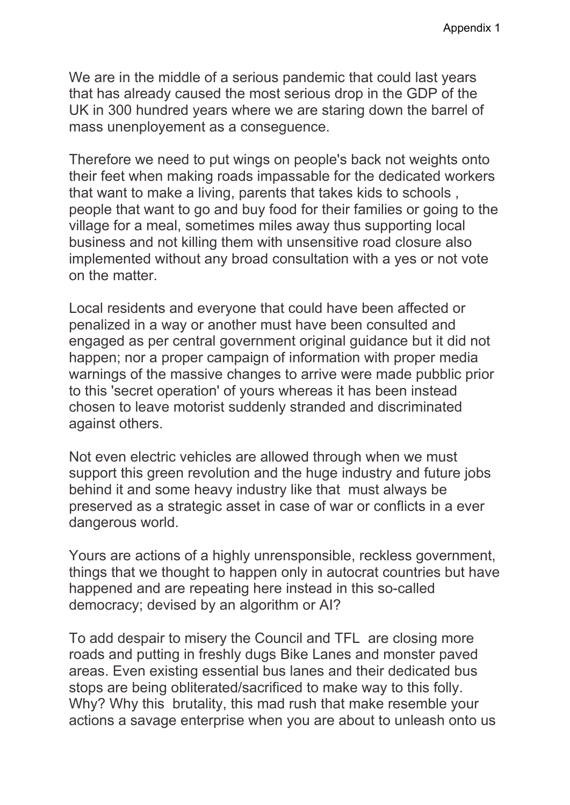We are in the middle of a serious pandemic that could last years that has already caused the most serious drop in the GDP of the UK in 300 hundred years where we are staring down the barrel of mass unenployement as a conseguence.

Therefore we need to put wings on people's back not weights onto their feet when making roads impassable for the dedicated workers that want to make a living, parents that takes kids to schools , people that want to go and buy food for their families or going to the village for a meal, sometimes miles away thus supporting local business and not killing them with unsensitive road closure also implemented without any broad consultation with a yes or not vote on the matter.

Local residents and everyone that could have been affected or penalized in a way or another must have been consulted and engaged as per central government original guidance but it did not happen; nor a proper campaign of information with proper media warnings of the massive changes to arrive were made pubblic prior to this 'secret operation' of yours whereas it has been instead chosen to leave motorist suddenly stranded and discriminated against others.

Not even electric vehicles are allowed through when we must support this green revolution and the huge industry and future jobs behind it and some heavy industry like that must always be preserved as a strategic asset in case of war or conflicts in a ever dangerous world.

Yours are actions of a highly unrensponsible, reckless government, things that we thought to happen only in autocrat countries but have happened and are repeating here instead in this so-called democracy; devised by an algorithm or AI?

To add despair to misery the Council and TFL are closing more roads and putting in freshly dugs Bike Lanes and monster paved areas. Even existing essential bus lanes and their dedicated bus stops are being obliterated/sacrificed to make way to this folly. Why? Why this brutality, this mad rush that make resemble your actions a savage enterprise when you are about to unleash onto us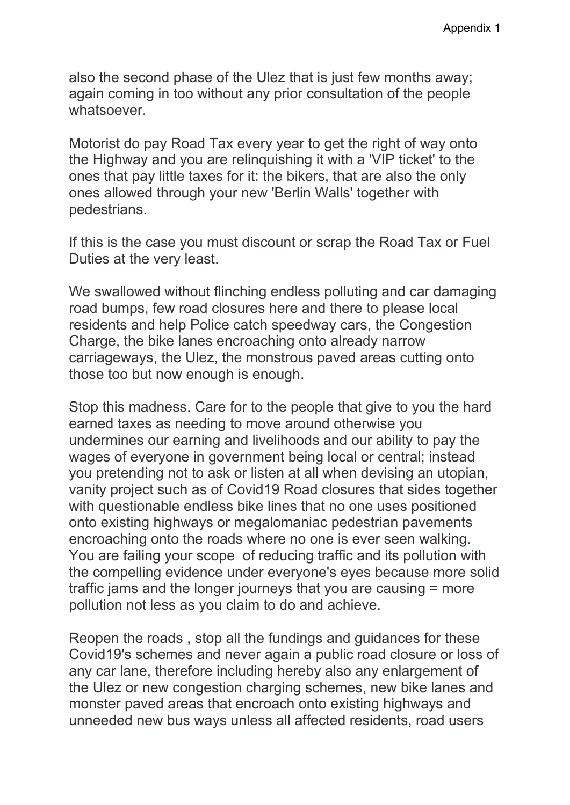also the second phase of the Ulez that is just few months away; again coming in too without any prior consultation of the people whatsoever.

Motorist do pay Road Tax every year to get the right of way onto the Highway and you are relinquishing it with a 'VIP ticket' to the ones that pay little taxes for it: the bikers, that are also the only ones allowed through your new 'Berlin Walls' together with pedestrians.

If this is the case you must discount or scrap the Road Tax or Fuel Duties at the very least.

We swallowed without flinching endless polluting and car damaging road bumps, few road closures here and there to please local residents and help Police catch speedway cars, the Congestion Charge, the bike lanes encroaching onto already narrow carriageways, the Ulez, the monstrous paved areas cutting onto those too but now enough is enough.

Stop this madness. Care for to the people that give to you the hard earned taxes as needing to move around otherwise you undermines our earning and livelihoods and our ability to pay the wages of everyone in government being local or central; instead you pretending not to ask or listen at all when devising an utopian, vanity project such as of Covid19 Road closures that sides together with questionable endless bike lines that no one uses positioned onto existing highways or megalomaniac pedestrian pavements encroaching onto the roads where no one is ever seen walking. You are failing your scope of reducing traffic and its pollution with the compelling evidence under everyone's eyes because more solid traffic jams and the longer journeys that you are causing = more pollution not less as you claim to do and achieve.

Reopen the roads , stop all the fundings and guidances for these Covid19's schemes and never again a public road closure or loss of any car lane, therefore including hereby also any enlargement of the Ulez or new congestion charging schemes, new bike lanes and monster paved areas that encroach onto existing highways and unneeded new bus ways unless all affected residents, road users